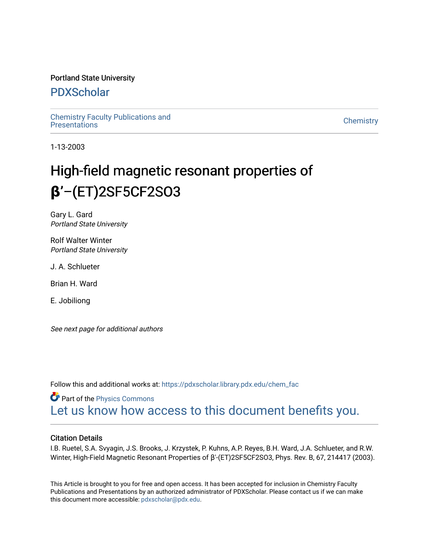# Portland State University

# [PDXScholar](https://pdxscholar.library.pdx.edu/)

[Chemistry Faculty Publications and](https://pdxscholar.library.pdx.edu/chem_fac)  [Chemistry](https://pdxscholar.library.pdx.edu/chem) Pacific Phonolations and the control of the control of the Chemistry Chemistry Chemistry

1-13-2003

# High-field magnetic resonant properties of **β**'–(ET)2SF5CF2SO3

Gary L. Gard Portland State University

Rolf Walter Winter Portland State University

J. A. Schlueter

Brian H. Ward

E. Jobiliong

See next page for additional authors

Follow this and additional works at: [https://pdxscholar.library.pdx.edu/chem\\_fac](https://pdxscholar.library.pdx.edu/chem_fac?utm_source=pdxscholar.library.pdx.edu%2Fchem_fac%2F16&utm_medium=PDF&utm_campaign=PDFCoverPages) 

**Part of the [Physics Commons](http://network.bepress.com/hgg/discipline/193?utm_source=pdxscholar.library.pdx.edu%2Fchem_fac%2F16&utm_medium=PDF&utm_campaign=PDFCoverPages)** [Let us know how access to this document benefits you.](http://library.pdx.edu/services/pdxscholar-services/pdxscholar-feedback/?ref=https://pdxscholar.library.pdx.edu/chem_fac/16) 

# Citation Details

I.B. Ruetel, S.A. Svyagin, J.S. Brooks, J. Krzystek, P. Kuhns, A.P. Reyes, B.H. Ward, J.A. Schlueter, and R.W. Winter, High-Field Magnetic Resonant Properties of β'-(ET)2SF5CF2SO3, Phys. Rev. B, 67, 214417 (2003).

This Article is brought to you for free and open access. It has been accepted for inclusion in Chemistry Faculty Publications and Presentations by an authorized administrator of PDXScholar. Please contact us if we can make this document more accessible: [pdxscholar@pdx.edu.](mailto:pdxscholar@pdx.edu)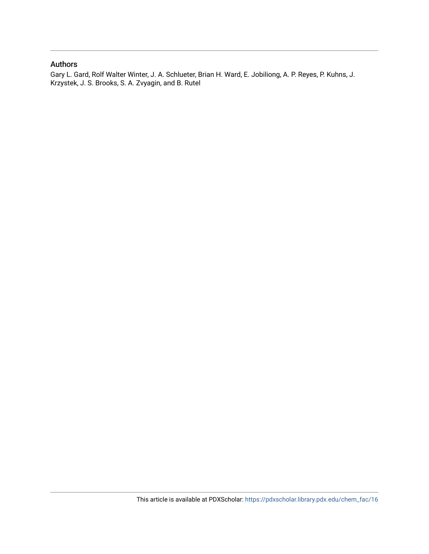# Authors

Gary L. Gard, Rolf Walter Winter, J. A. Schlueter, Brian H. Ward, E. Jobiliong, A. P. Reyes, P. Kuhns, J. Krzystek, J. S. Brooks, S. A. Zvyagin, and B. Rutel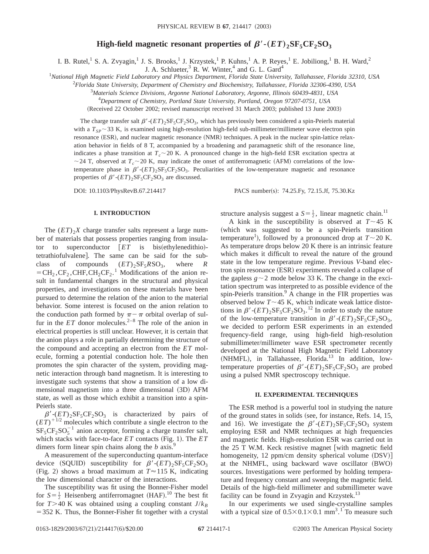### **High-field magnetic resonant properties of**  $\beta'$  **-** $(ET)$ **<sub>2</sub>SF<sub>5</sub>CF<sub>2</sub>SO<sub>3</sub>**

I. B. Rutel, S. A. Zvyagin,<sup>1</sup> J. S. Brooks,<sup>1</sup> J. Krzystek,<sup>1</sup> P. Kuhns,<sup>1</sup> A. P. Reyes,<sup>1</sup> E. Jobiliong,<sup>1</sup> B. H. Ward,<sup>2</sup>

J. A. Schlueter,<sup>3</sup> R. W. Winter,<sup>4</sup> and G. L. Gard<sup>4</sup>

1 *National High Magnetic Field Laboratory and Physics Department, Florida State University, Tallahassee, Florida 32310, USA*

2 *Florida State University, Department of Chemistry and Biochemistry, Tallahassee, Florida 32306-4390, USA*

3 *Materials Science Divisions, Argonne National Laboratory, Argonne, Illinois 60439-4831, USA*

4 *Department of Chemistry, Portland State University, Portland, Oregon 97207-0751, USA*

(Received 22 October 2002; revised manuscript received 31 March 2003; published 13 June 2003)

The charge transfer salt  $\beta'$ -( $ET$ )<sub>2</sub>SF<sub>5</sub>CF<sub>2</sub>SO<sub>3</sub>, which has previously been considered a spin-Peierls material with a  $T_{SP} \sim 33$  K, is examined using high-resolution high-field sub-millimeter/millimeter wave electron spin resonance (ESR), and nuclear magnetic resonance (NMR) techniques. A peak in the nuclear spin-lattice relaxation behavior in fields of 8 T, accompanied by a broadening and paramagnetic shift of the resonance line, indicates a phase transition at  $T_c \sim 20$  K. A pronounced change in the high-field ESR excitation spectra at  $\sim$  24 T, observed at  $T_c \sim$  20 K, may indicate the onset of antiferromagnetic (AFM) correlations of the lowtemperature phase in  $\beta'$ -( $ET$ )<sub>2</sub>SF<sub>5</sub>CF<sub>2</sub>SO<sub>3</sub>. Peculiarities of the low-temperature magnetic and resonance properties of  $\beta'$ - $(ET)$ <sub>2</sub>SF<sub>5</sub>CF<sub>2</sub>SO<sub>3</sub> are discussed.

DOI: 10.1103/PhysRevB.67.214417 PACS number(s): 74.25.Fy, 72.15.Jf, 75.30.Kz

#### **I. INTRODUCTION**

The  $(ET)_{2}X$  charge transfer salts represent a large number of materials that possess properties ranging from insulator to superconductor  $[ET$  is bis(ethylenedithio)tetrathiofulvalene]. The same can be said for the subclass of compounds  $(ET)_2$ SF<sub>5</sub>*R*SO<sub>3</sub>, where *R*  $=CH_2, CF_2, CHF, CH_2CF_2$ .<sup>1</sup> Modifications of the anion result in fundamental changes in the structural and physical properties, and investigations on these materials have been pursued to determine the relation of the anion to the material behavior. Some interest is focused on the anion relation to the conduction path formed by  $\pi - \pi$  orbital overlap of sulfur in the  $ET$  donor molecules.<sup>2–8</sup> The role of the anion in electrical properties is still unclear. However, it is certain that the anion plays a role in partially determining the structure of the compound and accepting an electron from the *ET* molecule, forming a potential conduction hole. The hole then promotes the spin character of the system, providing magnetic interaction through band magnetism. It is interesting to investigate such systems that show a transition of a low dimensional magnetism into a three dimensional  $(3D)$  AFM state, as well as those which exhibit a transition into a spin-Peierls state.

 $\beta'$ -(*ET*)<sub>2</sub>SF<sub>5</sub>CF<sub>2</sub>SO<sub>3</sub> is characterized by pairs of  $(ET)^{+1/2}$  molecules which contribute a single electron to the  $SF<sub>5</sub>CF<sub>2</sub>SO<sub>5</sub><sup>-1</sup>$  anion acceptor, forming a charge transfer salt, which stacks with face-to-face  $ET$  contacts (Fig. 1). The  $ET$ dimers form linear spin chains along the *b* axis.<sup>9</sup>

A measurement of the superconducting quantum-interface device (SQUID) susceptibility for  $\beta'$ - $(ET)$ <sub>2</sub>SF<sub>5</sub>CF<sub>2</sub>SO<sub>3</sub> (Fig. 2) shows a broad maximum at  $T \approx 115$  K, indicating the low dimensional character of the interactions.

The susceptibility was fit using the Bonner-Fisher model for  $S = \frac{1}{2}$  Heisenberg antiferromagnet (HAF).<sup>10</sup> The best fit for  $T > 40$  K was obtained using a coupling constant  $J/k_B$  $=$  352 K. Thus, the Bonner-Fisher fit together with a crystal structure analysis suggest a  $S = \frac{1}{2}$ , linear magnetic chain.<sup>11</sup>

A kink in the susceptibility is observed at  $T \sim 45$  K (which was suggested to be a spin-Peierls transition temperature<sup>1</sup>), followed by a pronounced drop at  $T \sim 20$  K. As temperature drops below 20 K there is an intrinsic feature which makes it difficult to reveal the nature of the ground state in the low temperature regime. Previous *V*-band electron spin resonance (ESR) experiments revealed a collapse of the gapless  $g \sim 2$  mode below 33 K. The change in the excitation spectrum was interpreted to as possible evidence of the spin-Peierls transition.<sup>9</sup> A change in the FIR properties was observed below  $T \sim 45$  K, which indicate weak lattice distortions in  $\beta'$ - $(ET)_{2}SF_{5}CF_{2}SO_{3}$ .<sup>12</sup> In order to study the nature of the low-temperature transition in  $\beta'$ - $(ET)_{2}SF_{5}CF_{2}SO_{3}$ , we decided to perform ESR experiments in an extended frequency-field range, using high-field high-resolution submillimeter/millimeter wave ESR spectrometer recently developed at the National High Magnetic Field Laboratory (NHMFL), in Tallahassee, Florida.<sup>13</sup> In addition, lowtemperature properties of  $\beta'$ - $(ET)$ <sub>2</sub>SF<sub>5</sub>CF<sub>2</sub>SO<sub>3</sub> are probed using a pulsed NMR spectroscopy technique.

#### **II. EXPERIMENTAL TECHNIQUES**

The ESR method is a powerful tool in studying the nature of the ground states in solids (see, for instance, Refs. 14, 15, and 16). We investigate the  $\beta'$ - $(ET)_{2}SF_{5}CF_{2}SO_{3}$  system employing ESR and NMR techniques at high frequencies and magnetic fields. High-resolution ESR was carried out in the  $25$  T W.M. Keck resistive magnet with magnetic field homogeneity, 12 ppm/cm density spherical volume  $(DSV)$ at the NHMFL, using backward wave oscillator (BWO) sources. Investigations were performed by holding temperature and frequency constant and sweeping the magnetic field. Details of the high-field millimeter and submillimeter wave facility can be found in Zvyagin and Krzystek.<sup>13</sup>

In our experiments we used single-crystalline samples with a typical size of  $0.5 \times 0.1 \times 0.1$  mm<sup>3</sup>.<sup>1</sup> To measure such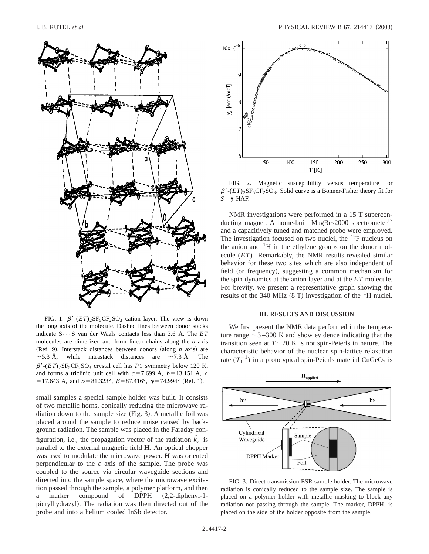

FIG. 1.  $\beta'$ - $(ET)_{2}$ SF<sub>5</sub>CF<sub>2</sub>SO<sub>3</sub> cation layer. The view is down the long axis of the molecule. Dashed lines between donor stacks indicate  $S \cdots S$  van der Waals contacts less than 3.6 Å. The  $ET$ molecules are dimerized and form linear chains along the *b* axis  $(Ref. 9)$ . Interstack distances between donors  $(along b axis)$  are  $\sim$  5.3 Å, while intrastack distances are  $\sim$  7.3 Å. The  $\beta'$ -( $ET$ )<sub>2</sub>SF<sub>5</sub>CF<sub>2</sub>SO<sub>3</sub> crystal cell has  $P\overline{1}$  symmetry below 120 K, and forms a triclinic unit cell with  $a=7.699$  Å,  $b=13.151$  Å, *c* = 17.643 Å, and  $\alpha$ = 81.323°,  $\beta$ = 87.416°,  $\gamma$ = 74.994° (Ref. 1).

small samples a special sample holder was built. It consists of two metallic horns, conically reducing the microwave radiation down to the sample size  $(Fig. 3)$ . A metallic foil was placed around the sample to reduce noise caused by background radiation. The sample was placed in the Faraday configuration, i.e., the propagation vector of the radiation  $k_{\omega}$  is parallel to the external magnetic field **H**. An optical chopper was used to modulate the microwave power. **H** was oriented perpendicular to the *c* axis of the sample. The probe was coupled to the source via circular waveguide sections and directed into the sample space, where the microwave excitation passed through the sample, a polymer platform, and then a marker compound of DPPH  $(2,2$ -diphenyl-1picrylhydrazyl). The radiation was then directed out of the probe and into a helium cooled InSb detector.



FIG. 2. Magnetic susceptibility versus temperature for  $\beta'$ -( $ET$ )<sub>2</sub>SF<sub>5</sub>CF<sub>2</sub>SO<sub>3</sub>. Solid curve is a Bonner-Fisher theory fit for  $S=\frac{1}{2}$  HAF.

NMR investigations were performed in a 15 T superconducting magnet. A home-built MagRes2000 spectrometer<sup>17</sup> and a capacitively tuned and matched probe were employed. The investigation focused on two nuclei, the  $^{19}$ F nucleus on the anion and  $\mathrm{^{1}H}$  in the ethylene groups on the donor molecule (*ET*). Remarkably, the NMR results revealed similar behavior for these two sites which are also independent of field (or frequency), suggesting a common mechanism for the spin dynamics at the anion layer and at the *ET* molecule. For brevity, we present a representative graph showing the results of the 340 MHz  $(8 T)$  investigation of the <sup>1</sup>H nuclei.

#### **III. RESULTS AND DISCUSSION**

We first present the NMR data performed in the temperature range  $\sim$  3–300 K and show evidence indicating that the transition seen at  $T \sim 20$  K is not spin-Peierls in nature. The characteristic behavior of the nuclear spin-lattice relaxation rate  $(T_1^{-1})$  in a prototypical spin-Peierls material CuGeO<sub>3</sub> is



FIG. 3. Direct transmission ESR sample holder. The microwave radiation is conically reduced to the sample size. The sample is placed on a polymer holder with metallic masking to block any radiation not passing through the sample. The marker, DPPH, is placed on the side of the holder opposite from the sample.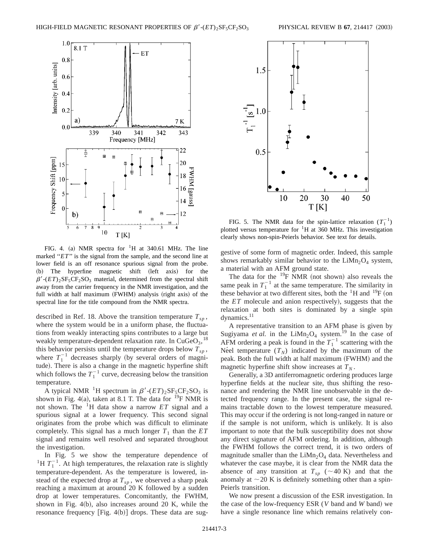

FIG. 4. (a) NMR spectra for  ${}^{1}H$  at 340.61 MHz. The line marked "*ET*" is the signal from the sample, and the second line at lower field is an off resonance spurious signal from the probe.  $(b)$  The hyperfine magnetic shift  $(\text{left axis})$  for the  $\beta'$ -( $ET$ )<sub>2</sub>SF<sub>5</sub>CF<sub>2</sub>SO<sub>3</sub> material, determined from the spectral shift away from the carrier frequency in the NMR investigation, and the full width at half maximum (FWHM) analysis (right axis) of the spectral line for the title compound from the NMR spectra.

described in Ref. 18. Above the transition temperature  $T_{sn}$ , where the system would be in a uniform phase, the fluctuations from weakly interacting spins contributes to a large but weakly temperature-dependent relaxation rate. In  $CuGeO<sub>3</sub>$ , <sup>18</sup> this behavior persists until the temperature drops below  $T_{sp}$ , where  $T_1^{-1}$  decreases sharply (by several orders of magnitude). There is also a change in the magnetic hyperfine shift which follows the  $T_1^{-1}$  curve, decreasing below the transition temperature.

A typical NMR <sup>1</sup>H spectrum in  $\beta'$ - $(ET)_{2}SF_{5}CF_{2}SO_{3}$  is shown in Fig. 4(a), taken at 8.1 T. The data for  $^{19}$ F NMR is not shown. The 1H data show a narrow *ET* signal and a spurious signal at a lower frequency. This second signal originates from the probe which was difficult to eliminate completely. This signal has a much longer  $T_1$  than the  $ET$ signal and remains well resolved and separated throughout the investigation.

In Fig. 5 we show the temperature dependence of <sup>1</sup>H  $T_1^{-1}$ . At high temperatures, the relaxation rate is slightly temperature-dependent. As the temperature is lowered, instead of the expected drop at  $T_{sp}$ , we observed a sharp peak reaching a maximum at around 20 K followed by a sudden drop at lower temperatures. Concomitantly, the FWHM, shown in Fig.  $4(b)$ , also increases around 20 K, while the resonance frequency  $[Fig. 4(b)]$  drops. These data are sug-



FIG. 5. The NMR data for the spin-lattice relaxation  $(T_1^{-1})$ plotted versus temperature for  ${}^{1}H$  at 360 MHz. This investigation clearly shows non-spin-Peierls behavior. See text for details.

gestive of some form of magnetic order. Indeed, this sample shows remarkably similar behavior to the  $LiMn<sub>2</sub>O<sub>4</sub>$  system, a material with an AFM ground state.

The data for the  $^{19}$ F NMR (not shown) also reveals the same peak in  $T_1^{-1}$  at the same temperature. The similarity in these behavior at two different sites, both the  ${}^{1}H$  and  ${}^{19}F$  (on the  $ET$  molecule and anion respectively), suggests that the relaxation at both sites is dominated by a single spin dynamics.<sup>11</sup>

A representative transition to an AFM phase is given by Sugiyama *et al.* in the LiMn<sub>2</sub>O<sub>4</sub> system.<sup>19</sup> In the case of AFM ordering a peak is found in the  $T_1^{-1}$  scattering with the Ne<sup> $\check{e}$ </sup> temperature  $(T_N)$  indicated by the maximum of the peak. Both the full width at half maximum (FWHM) and the magnetic hyperfine shift show increases at  $T_N$ .

Generally, a 3D antiferromagnetic ordering produces large hyperfine fields at the nuclear site, thus shifting the resonance and rendering the NMR line unobservable in the detected frequency range. In the present case, the signal remains tractable down to the lowest temperature measured. This may occur if the ordering is not long-ranged in nature or if the sample is not uniform, which is unlikely. It is also important to note that the bulk susceptibility does not show any direct signature of AFM ordering. In addition, although the FWHM follows the correct trend, it is two orders of magnitude smaller than the  $LiMn<sub>2</sub>O<sub>4</sub>$  data. Nevertheless and whatever the case maybe, it is clear from the NMR data the absence of any transition at  $T_{sp}$  ( $\sim$  40 K) and that the anomaly at  $\sim$  20 K is definitely something other than a spin-Peierls transition.

We now present a discussion of the ESR investigation. In the case of the low-frequency ESR (*V* band and *W* band) we have a single resonance line which remains relatively con-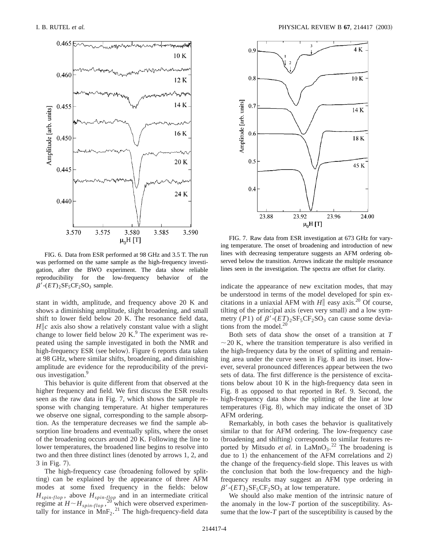

FIG. 6. Data from ESR performed at 98 GHz and 3.5 T. The run was performed on the same sample as the high-frequency investigation, after the BWO experiment. The data show reliable reproducibility for the low-frequency behavior of the  $\beta'$ - $(ET)$ <sub>2</sub>SF<sub>5</sub>CF<sub>2</sub>SO<sub>3</sub> sample.

stant in width, amplitude, and frequency above 20 K and shows a diminishing amplitude, slight broadening, and small shift to lower field below 20 K. The resonance field data,  $H\|c$  axis also show a relatively constant value with a slight change to lower field below 20 K. $9$  The experiment was repeated using the sample investigated in both the NMR and high-frequency ESR (see below). Figure 6 reports data taken at 98 GHz, where similar shifts, broadening, and diminishing amplitude are evidence for the reproducibility of the previous investigation.<sup>9</sup>

This behavior is quite different from that observed at the higher frequency and field. We first discuss the ESR results seen as the raw data in Fig. 7, which shows the sample response with changing temperature. At higher temperatures we observe one signal, corresponding to the sample absorption. As the temperature decreases we find the sample absorption line broadens and eventually splits, where the onset of the broadening occurs around 20 K. Following the line to lower temperatures, the broadened line begins to resolve into two and then three distinct lines (denoted by arrows 1, 2, and  $3$  in Fig.  $7$ ).

The high-frequency case (broadening followed by splitting) can be explained by the appearance of three AFM modes at some fixed frequency in the fields: below *Hspin*-*flop* , above *Hspin*-*flop* and in an intermediate critical regime at  $H \sim H_{spin-flop}$ ,<sup>20<sup>r</sup></sup> which were observed experimentally for instance in  $MnF_2$ .<sup>21</sup> The high-frequency-field data



FIG. 7. Raw data from ESR investigation at 673 GHz for varying temperature. The onset of broadening and introduction of new lines with decreasing temperature suggests an AFM ordering observed below the transition. Arrows indicate the multiple resonance lines seen in the investigation. The spectra are offset for clarity.

indicate the appearance of new excitation modes, that may be understood in terms of the model developed for spin excitations in a uniaxial AFM with  $H\|$  easy axis.<sup>20</sup> Of course, tilting of the principal axis (even very small) and a low symmetry (*P*1) of  $\beta'$ -( $ET$ )<sub>2</sub>SF<sub>5</sub>CF<sub>2</sub>SO<sub>3</sub> can cause some deviations from the model. $20$ 

Both sets of data show the onset of a transition at *T*  $\sim$  20 K, where the transition temperature is also verified in the high-frequency data by the onset of splitting and remaining area under the curve seen in Fig. 8 and its inset. However, several pronounced differences appear between the two sets of data. The first difference is the persistence of excitations below about 10 K in the high-frequency data seen in Fig. 8 as opposed to that reported in Ref. 9. Second, the high-frequency data show the splitting of the line at low temperatures  $(Fig. 8)$ , which may indicate the onset of 3D AFM ordering.

Remarkably, in both cases the behavior is qualitatively similar to that for AFM ordering. The low-frequency case (broadening and shifting) corresponds to similar features reported by Mitsudo *et al.* in  $\text{LaMnO}_3$ .<sup>22</sup> The broadening is due to 1) the enhancement of the AFM correlations and 2) the change of the frequency-field slope. This leaves us with the conclusion that both the low-frequency and the highfrequency results may suggest an AFM type ordering in  $\beta'$ - $(ET)$ <sub>2</sub>SF<sub>5</sub>CF<sub>2</sub>SO<sub>3</sub> at low temperature.

We should also make mention of the intrinsic nature of the anomaly in the low-*T* portion of the susceptibility. Assume that the low-*T* part of the susceptibility is caused by the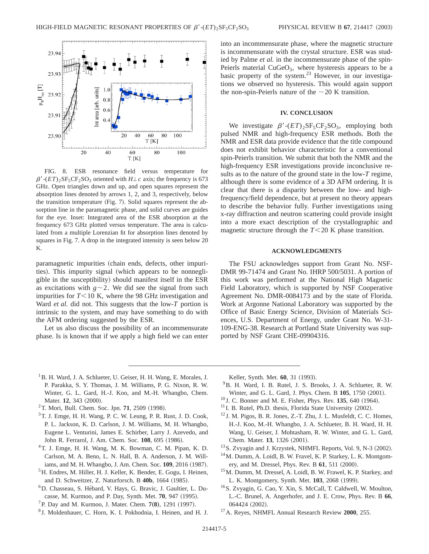

FIG. 8. ESR resonance field versus temperature for  $\beta'$ -(*ET*)<sub>2</sub>SF<sub>5</sub>CF<sub>2</sub>SO<sub>3</sub> oriented with *H*<sup> $\perp$ </sup>*c* axis; the frequency is 673 GHz. Open triangles down and up, and open squares represent the absorption lines denoted by arrows 1, 2, and 3, respectively, below the transition temperature (Fig. 7). Solid squares represent the absorption line in the paramagnetic phase, and solid curves are guides for the eye. Inset: Integrated area of the ESR absorption at the frequency 673 GHz plotted versus temperature. The area is calculated from a multiple Lorenzian fit for absorption lines denoted by squares in Fig. 7. A drop in the integrated intensity is seen below 20 K.

paramagnetic impurities (chain ends, defects, other impurities). This impurity signal (which appears to be nonnegligible in the susceptibility) should manifest itself in the ESR as excitations with  $g \sim 2$ . We did see the signal from such impurities for  $T < 10$  K, where the 98 GHz investigation and Ward *et al.* did not. This suggests that the low-*T* portion is intrinsic to the system, and may have something to do with the AFM ordering suggested by the ESR.

Let us also discuss the possibility of an incommensurate phase. Is is known that if we apply a high field we can enter into an incommensurate phase, where the magnetic structure is incommensurate with the crystal structure. ESR was studied by Palme *et al.* in the incommensurate phase of the spin-Peierls material  $CuGeO<sub>3</sub>$ , where hysteresis appears to be a basic property of the system. $^{23}$  However, in our investigations we observed no hysteresis. This would again support the non-spin-Peierls nature of the  $\sim$  20 K transition.

#### **IV. CONCLUSION**

We investigate  $\beta'$ - $(ET)$ <sub>2</sub>SF<sub>5</sub>CF<sub>2</sub>SO<sub>3</sub>, employing both pulsed NMR and high-frequency ESR methods. Both the NMR and ESR data provide evidence that the title compound does not exhibit behavior characteristic for a conventional spin-Peierls transition. We submit that both the NMR and the high-frequency ESR investigations provide inconclusive results as to the nature of the ground state in the low-*T* regime, although there is some evidence of a 3D AFM ordering. It is clear that there is a disparity between the low- and highfrequency/field dependence, but at present no theory appears to describe the behavior fully. Further investigations using x-ray diffraction and neutron scattering could provide insight into a more exact description of the crystallographic and magnetic structure through the  $T < 20$  K phase transition.

#### **ACKNOWLEDGMENTS**

The FSU acknowledges support from Grant No. NSF-DMR 99-71474 and Grant No. IHRP 500/5031. A portion of this work was performed at the National High Magnetic Field Laboratory, which is supported by NSF Cooperative Agreement No. DMR-0084173 and by the state of Florida. Work at Argonne National Laboratory was supported by the Office of Basic Energy Science, Division of Materials Sciences, U.S. Department of Energy, under Grant No. W-31- 109-ENG-38. Research at Portland State University was supported by NSF Grant CHE-09904316.

<sup>1</sup>B. H. Ward, J. A. Schlueter, U. Geiser, H. H. Wang, E. Morales, J. P. Parakka, S. Y. Thomas, J. M. Williams, P. G. Nixon, R. W. Winter, G. L. Gard, H.-J. Koo, and M.-H. Whangbo, Chem. Mater. 12, 343 (2000).

- $3$ T. J. Emge, H. H. Wang, P. C. W. Leung, P. R. Rust, J. D. Cook, P. L. Jackson, K. D. Carlson, J. M. Williams, M. H. Whangbo, Eugene L. Venturini, James E. Schirber, Larry J. Azevedo, and John R. Ferrarol, J. Am. Chem. Soc. 108, 695 (1986).
- 4T. J. Emge, H. H. Wang, M. K. Bowman, C. M. Pipan, K. D. Carlson, M. A. Beno, L. N. Hall, B. A. Anderson, J. M. Williams, and M. H. Whangbo, J. Am. Chem. Soc. 109, 2016 (1987).
- <sup>5</sup>H. Endres, M. Hiller, H. J. Keller, K. Bender, E. Gogu, I. Heinen, and D. Schweitzer, Z. Naturforsch. B 40b, 1664 (1985).
- 6D. Chasseau, S. He´bard, V. Hays, G. Bravic, J. Gaultier, L. Ducasse, M. Kurmoo, and P. Day, Synth. Met. **70**, 947 (1995).
- <sup>7</sup>P. Day and M. Kurmoo, J. Mater. Chem. **7(8)**, 1291 (1997).<br><sup>8</sup>J. Moldenhauer, C. Horn, K. I. Pokhodnia, I. Heinen, and H. J.
- 

Keller, Synth. Met. 60, 31 (1993).

- 9B. H. Ward, I. B. Rutel, J. S. Brooks, J. A. Schlueter, R. W. Winter, and G. L. Gard, J. Phys. Chem. B **105**, 1750 (2001).
- $10$  J. C. Bonner and M. E. Fisher, Phys. Rev.  $135, 640$  (1964).
- $11$  I. B. Rutel, Ph.D. thesis, Florida State University (2002).
- <sup>12</sup> J. M. Pigos, B. R. Jones, Z.-T. Zhu, J. L. Musfeldt, C. C. Homes, H.-J. Koo, M.-H. Whangbo, J. A. Schlueter, B. H. Ward, H. H. Wang, U. Geiser, J. Mohtasham, R. W. Winter, and G. L. Gard, Chem. Mater. **13**, 1326 (2001).
- $13$ S. Zvyagin and J. Krzystek, NHMFL Reports, Vol. 9, N-3 (2002).
- <sup>14</sup>M. Dumm, A. Loidl, B. W. Fravel, K. P. Starkey, L. K. Montgomery, and M. Dressel, Phys. Rev. B 61, 511 (2000).
- 15M. Dumm, M. Dressel, A. Loidl, B. W. Frawel, K. P. Starkey, and L. K. Montgomery, Synth. Met. 103, 2068 (1999).
- 16S. Zvyagin, G. Cao, Y. Xin, S. McCall, T. Caldwell, W. Moulton, L.-C. Brunel, A. Angerhofer, and J. E. Crow, Phys. Rev. B **66**, 064424 (2002).
- 17A. Reyes, NHMFL Annual Research Review **2000**, 255.

<sup>&</sup>lt;sup>2</sup>T. Mori, Bull. Chem. Soc. Jpn. **71**, 2509 (1998).